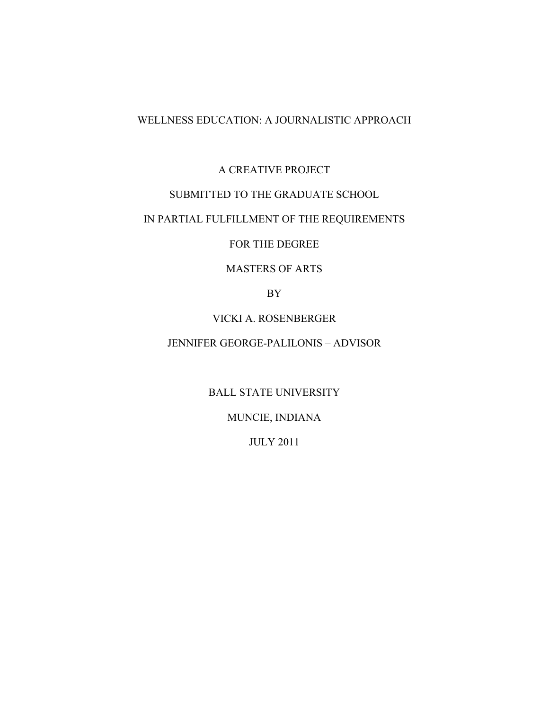# WELLNESS EDUCATION: A JOURNALISTIC APPROACH

# A CREATIVE PROJECT

# SUBMITTED TO THE GRADUATE SCHOOL

# IN PARTIAL FULFILLMENT OF THE REQUIREMENTS

FOR THE DEGREE

### MASTERS OF ARTS

BY

### VICKI A. ROSENBERGER

# JENNIFER GEORGE-PALILONIS – ADVISOR

BALL STATE UNIVERSITY

MUNCIE, INDIANA

JULY 2011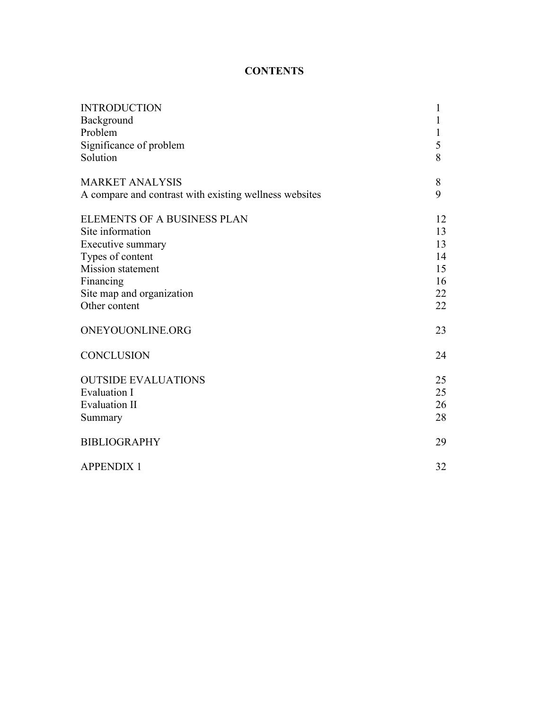# **CONTENTS**

| Background<br>1<br>1<br>Significance of problem<br>5<br>8<br>Solution<br>8<br>9<br>A compare and contrast with existing wellness websites<br>12<br>Site information<br>13<br>13<br>Types of content<br>14<br>15<br>16<br>Site map and organization<br>22<br>Other content<br>22<br>23<br>24<br>25<br>25<br>26<br>28<br>Summary<br>29<br>32 | <b>INTRODUCTION</b>                | 1 |
|--------------------------------------------------------------------------------------------------------------------------------------------------------------------------------------------------------------------------------------------------------------------------------------------------------------------------------------------|------------------------------------|---|
|                                                                                                                                                                                                                                                                                                                                            |                                    |   |
|                                                                                                                                                                                                                                                                                                                                            | Problem                            |   |
|                                                                                                                                                                                                                                                                                                                                            |                                    |   |
|                                                                                                                                                                                                                                                                                                                                            |                                    |   |
|                                                                                                                                                                                                                                                                                                                                            | <b>MARKET ANALYSIS</b>             |   |
|                                                                                                                                                                                                                                                                                                                                            |                                    |   |
|                                                                                                                                                                                                                                                                                                                                            | <b>ELEMENTS OF A BUSINESS PLAN</b> |   |
|                                                                                                                                                                                                                                                                                                                                            |                                    |   |
|                                                                                                                                                                                                                                                                                                                                            | Executive summary                  |   |
|                                                                                                                                                                                                                                                                                                                                            |                                    |   |
|                                                                                                                                                                                                                                                                                                                                            | Mission statement                  |   |
|                                                                                                                                                                                                                                                                                                                                            | Financing                          |   |
|                                                                                                                                                                                                                                                                                                                                            |                                    |   |
|                                                                                                                                                                                                                                                                                                                                            |                                    |   |
|                                                                                                                                                                                                                                                                                                                                            | ONEYOUONLINE.ORG                   |   |
|                                                                                                                                                                                                                                                                                                                                            | <b>CONCLUSION</b>                  |   |
|                                                                                                                                                                                                                                                                                                                                            | <b>OUTSIDE EVALUATIONS</b>         |   |
|                                                                                                                                                                                                                                                                                                                                            | <b>Evaluation I</b>                |   |
|                                                                                                                                                                                                                                                                                                                                            | <b>Evaluation II</b>               |   |
|                                                                                                                                                                                                                                                                                                                                            |                                    |   |
|                                                                                                                                                                                                                                                                                                                                            | <b>BIBLIOGRAPHY</b>                |   |
|                                                                                                                                                                                                                                                                                                                                            | <b>APPENDIX 1</b>                  |   |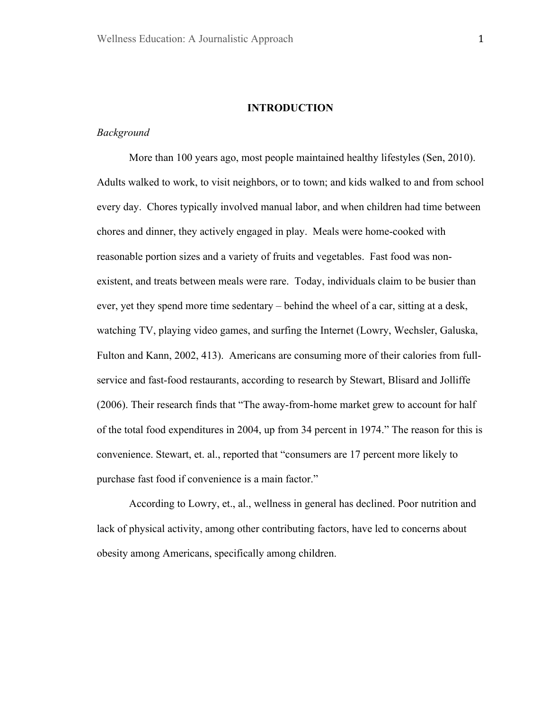#### **INTRODUCTION**

### *Background*

More than 100 years ago, most people maintained healthy lifestyles (Sen, 2010). Adults walked to work, to visit neighbors, or to town; and kids walked to and from school every day. Chores typically involved manual labor, and when children had time between chores and dinner, they actively engaged in play. Meals were home-cooked with reasonable portion sizes and a variety of fruits and vegetables. Fast food was nonexistent, and treats between meals were rare. Today, individuals claim to be busier than ever, yet they spend more time sedentary – behind the wheel of a car, sitting at a desk, watching TV, playing video games, and surfing the Internet (Lowry, Wechsler, Galuska, Fulton and Kann, 2002, 413). Americans are consuming more of their calories from fullservice and fast-food restaurants, according to research by Stewart, Blisard and Jolliffe (2006). Their research finds that "The away-from-home market grew to account for half of the total food expenditures in 2004, up from 34 percent in 1974." The reason for this is convenience. Stewart, et. al., reported that "consumers are 17 percent more likely to purchase fast food if convenience is a main factor."

According to Lowry, et., al., wellness in general has declined. Poor nutrition and lack of physical activity, among other contributing factors, have led to concerns about obesity among Americans, specifically among children.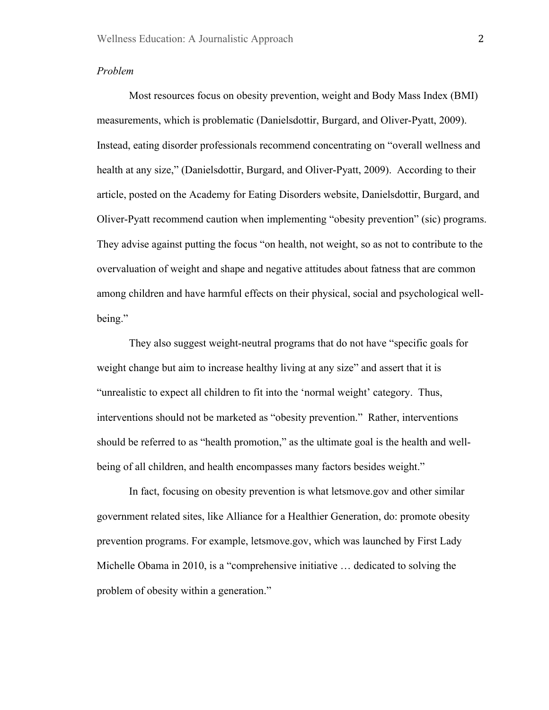### *Problem*

Most resources focus on obesity prevention, weight and Body Mass Index (BMI) measurements, which is problematic (Danielsdottir, Burgard, and Oliver-Pyatt, 2009). Instead, eating disorder professionals recommend concentrating on "overall wellness and health at any size," (Danielsdottir, Burgard, and Oliver-Pyatt, 2009). According to their article, posted on the Academy for Eating Disorders website, Danielsdottir, Burgard, and Oliver-Pyatt recommend caution when implementing "obesity prevention" (sic) programs. They advise against putting the focus "on health, not weight, so as not to contribute to the overvaluation of weight and shape and negative attitudes about fatness that are common among children and have harmful effects on their physical, social and psychological wellbeing."

They also suggest weight-neutral programs that do not have "specific goals for weight change but aim to increase healthy living at any size" and assert that it is "unrealistic to expect all children to fit into the 'normal weight' category. Thus, interventions should not be marketed as "obesity prevention." Rather, interventions should be referred to as "health promotion," as the ultimate goal is the health and wellbeing of all children, and health encompasses many factors besides weight."

In fact, focusing on obesity prevention is what letsmove.gov and other similar government related sites, like Alliance for a Healthier Generation, do: promote obesity prevention programs. For example, letsmove.gov, which was launched by First Lady Michelle Obama in 2010, is a "comprehensive initiative … dedicated to solving the problem of obesity within a generation."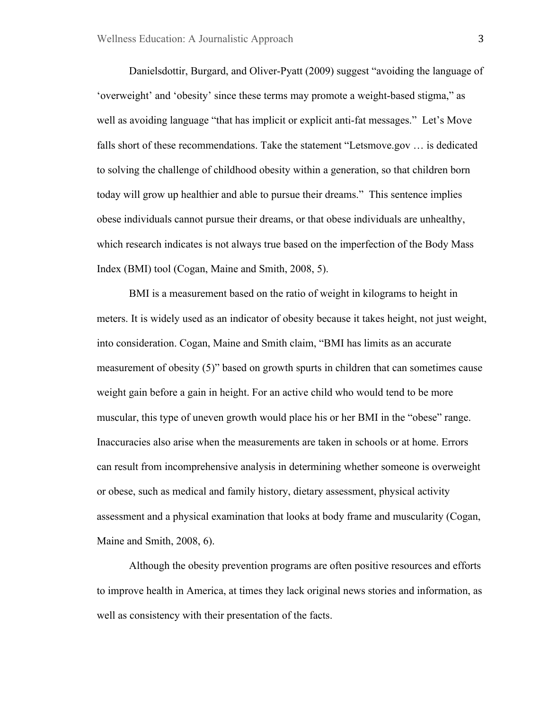Danielsdottir, Burgard, and Oliver-Pyatt (2009) suggest "avoiding the language of 'overweight' and 'obesity' since these terms may promote a weight-based stigma," as well as avoiding language "that has implicit or explicit anti-fat messages." Let's Move falls short of these recommendations. Take the statement "Letsmove.gov … is dedicated to solving the challenge of childhood obesity within a generation, so that children born today will grow up healthier and able to pursue their dreams." This sentence implies obese individuals cannot pursue their dreams, or that obese individuals are unhealthy, which research indicates is not always true based on the imperfection of the Body Mass Index (BMI) tool (Cogan, Maine and Smith, 2008, 5).

BMI is a measurement based on the ratio of weight in kilograms to height in meters. It is widely used as an indicator of obesity because it takes height, not just weight, into consideration. Cogan, Maine and Smith claim, "BMI has limits as an accurate measurement of obesity (5)" based on growth spurts in children that can sometimes cause weight gain before a gain in height. For an active child who would tend to be more muscular, this type of uneven growth would place his or her BMI in the "obese" range. Inaccuracies also arise when the measurements are taken in schools or at home. Errors can result from incomprehensive analysis in determining whether someone is overweight or obese, such as medical and family history, dietary assessment, physical activity assessment and a physical examination that looks at body frame and muscularity (Cogan, Maine and Smith, 2008, 6).

Although the obesity prevention programs are often positive resources and efforts to improve health in America, at times they lack original news stories and information, as well as consistency with their presentation of the facts.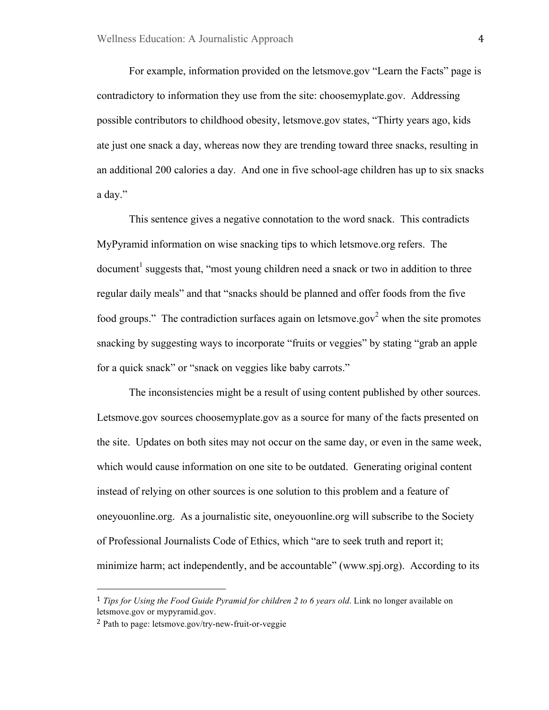For example, information provided on the letsmove.gov "Learn the Facts" page is contradictory to information they use from the site: choosemyplate.gov. Addressing possible contributors to childhood obesity, letsmove.gov states, "Thirty years ago, kids ate just one snack a day, whereas now they are trending toward three snacks, resulting in an additional 200 calories a day. And one in five school-age children has up to six snacks a day."

This sentence gives a negative connotation to the word snack. This contradicts MyPyramid information on wise snacking tips to which letsmove.org refers. The document<sup>1</sup> suggests that, "most young children need a snack or two in addition to three regular daily meals" and that "snacks should be planned and offer foods from the five food groups." The contradiction surfaces again on letsmove.gov<sup>2</sup> when the site promotes snacking by suggesting ways to incorporate "fruits or veggies" by stating "grab an apple for a quick snack" or "snack on veggies like baby carrots."

The inconsistencies might be a result of using content published by other sources. Letsmove.gov sources choosemyplate.gov as a source for many of the facts presented on the site. Updates on both sites may not occur on the same day, or even in the same week, which would cause information on one site to be outdated. Generating original content instead of relying on other sources is one solution to this problem and a feature of oneyouonline.org. As a journalistic site, oneyouonline.org will subscribe to the Society of Professional Journalists Code of Ethics, which "are to seek truth and report it; minimize harm; act independently, and be accountable" (www.spj.org). According to its

"""""""""""""""""""""""""""""""""""""""""""""""""""""""

<sup>1</sup> *Tips for Using the Food Guide Pyramid for children 2 to 6 years old*. Link no longer available on letsmove.gov or mypyramid.gov.

<sup>2</sup> Path to page: letsmove.gov/try-new-fruit-or-veggie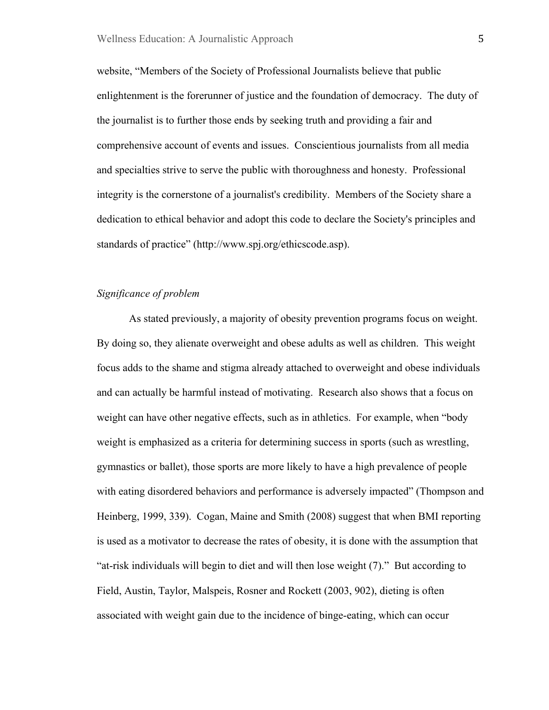website, "Members of the Society of Professional Journalists believe that public enlightenment is the forerunner of justice and the foundation of democracy. The duty of the journalist is to further those ends by seeking truth and providing a fair and comprehensive account of events and issues. Conscientious journalists from all media and specialties strive to serve the public with thoroughness and honesty. Professional integrity is the cornerstone of a journalist's credibility. Members of the Society share a dedication to ethical behavior and adopt this code to declare the Society's principles and standards of practice" (http://www.spj.org/ethicscode.asp).

### *Significance of problem*

As stated previously, a majority of obesity prevention programs focus on weight. By doing so, they alienate overweight and obese adults as well as children. This weight focus adds to the shame and stigma already attached to overweight and obese individuals and can actually be harmful instead of motivating. Research also shows that a focus on weight can have other negative effects, such as in athletics. For example, when "body weight is emphasized as a criteria for determining success in sports (such as wrestling, gymnastics or ballet), those sports are more likely to have a high prevalence of people with eating disordered behaviors and performance is adversely impacted" (Thompson and Heinberg, 1999, 339). Cogan, Maine and Smith (2008) suggest that when BMI reporting is used as a motivator to decrease the rates of obesity, it is done with the assumption that "at-risk individuals will begin to diet and will then lose weight (7)." But according to Field, Austin, Taylor, Malspeis, Rosner and Rockett (2003, 902), dieting is often associated with weight gain due to the incidence of binge-eating, which can occur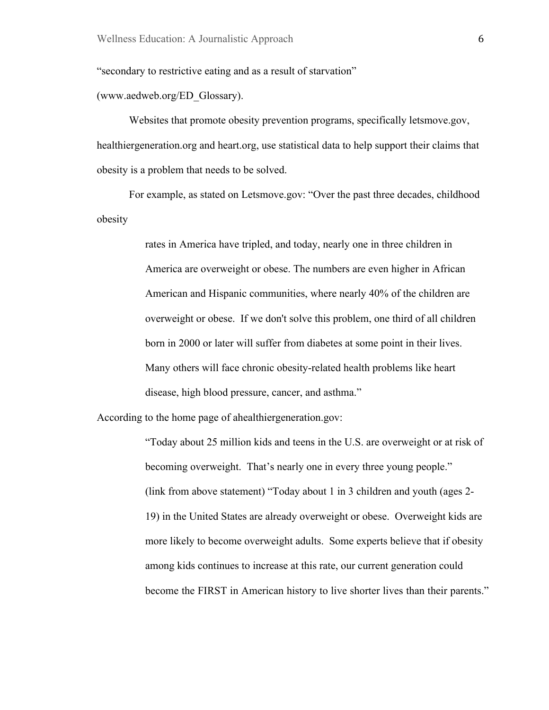"secondary to restrictive eating and as a result of starvation"

(www.aedweb.org/ED\_Glossary).

Websites that promote obesity prevention programs, specifically letsmove.gov, healthiergeneration.org and heart.org, use statistical data to help support their claims that obesity is a problem that needs to be solved.

For example, as stated on Letsmove.gov: "Over the past three decades, childhood obesity

> rates in America have tripled, and today, nearly one in three children in America are overweight or obese. The numbers are even higher in African American and Hispanic communities, where nearly 40% of the children are overweight or obese. If we don't solve this problem, one third of all children born in 2000 or later will suffer from diabetes at some point in their lives. Many others will face chronic obesity-related health problems like heart disease, high blood pressure, cancer, and asthma."

According to the home page of ahealthiergeneration.gov:

"Today about 25 million kids and teens in the U.S. are overweight or at risk of becoming overweight. That's nearly one in every three young people." (link from above statement) "Today about 1 in 3 children and youth (ages 2- 19) in the United States are already overweight or obese. Overweight kids are more likely to become overweight adults. Some experts believe that if obesity among kids continues to increase at this rate, our current generation could become the FIRST in American history to live shorter lives than their parents."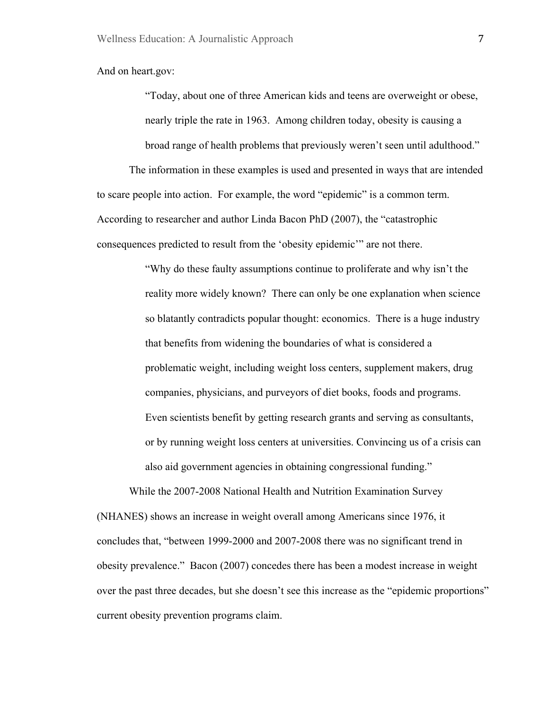And on heart.gov:

"Today, about one of three American kids and teens are overweight or obese, nearly triple the rate in 1963. Among children today, obesity is causing a broad range of health problems that previously weren't seen until adulthood."

The information in these examples is used and presented in ways that are intended to scare people into action. For example, the word "epidemic" is a common term. According to researcher and author Linda Bacon PhD (2007), the "catastrophic consequences predicted to result from the 'obesity epidemic'" are not there.

> "Why do these faulty assumptions continue to proliferate and why isn't the reality more widely known? There can only be one explanation when science so blatantly contradicts popular thought: economics. There is a huge industry that benefits from widening the boundaries of what is considered a problematic weight, including weight loss centers, supplement makers, drug companies, physicians, and purveyors of diet books, foods and programs. Even scientists benefit by getting research grants and serving as consultants, or by running weight loss centers at universities. Convincing us of a crisis can also aid government agencies in obtaining congressional funding."

While the 2007-2008 National Health and Nutrition Examination Survey (NHANES) shows an increase in weight overall among Americans since 1976, it concludes that, "between 1999-2000 and 2007-2008 there was no significant trend in obesity prevalence." Bacon (2007) concedes there has been a modest increase in weight over the past three decades, but she doesn't see this increase as the "epidemic proportions" current obesity prevention programs claim.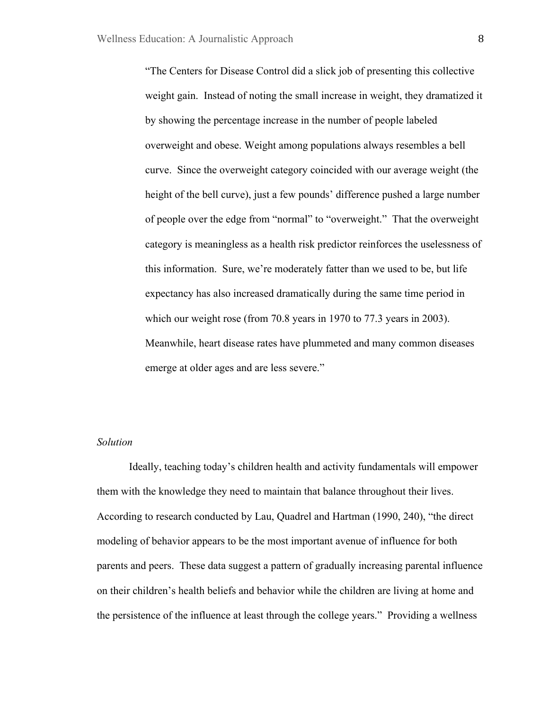"The Centers for Disease Control did a slick job of presenting this collective weight gain. Instead of noting the small increase in weight, they dramatized it by showing the percentage increase in the number of people labeled overweight and obese. Weight among populations always resembles a bell curve. Since the overweight category coincided with our average weight (the height of the bell curve), just a few pounds' difference pushed a large number of people over the edge from "normal" to "overweight." That the overweight category is meaningless as a health risk predictor reinforces the uselessness of this information. Sure, we're moderately fatter than we used to be, but life expectancy has also increased dramatically during the same time period in which our weight rose (from 70.8 years in 1970 to 77.3 years in 2003). Meanwhile, heart disease rates have plummeted and many common diseases emerge at older ages and are less severe."

#### *Solution*

Ideally, teaching today's children health and activity fundamentals will empower them with the knowledge they need to maintain that balance throughout their lives. According to research conducted by Lau, Quadrel and Hartman (1990, 240), "the direct modeling of behavior appears to be the most important avenue of influence for both parents and peers. These data suggest a pattern of gradually increasing parental influence on their children's health beliefs and behavior while the children are living at home and the persistence of the influence at least through the college years." Providing a wellness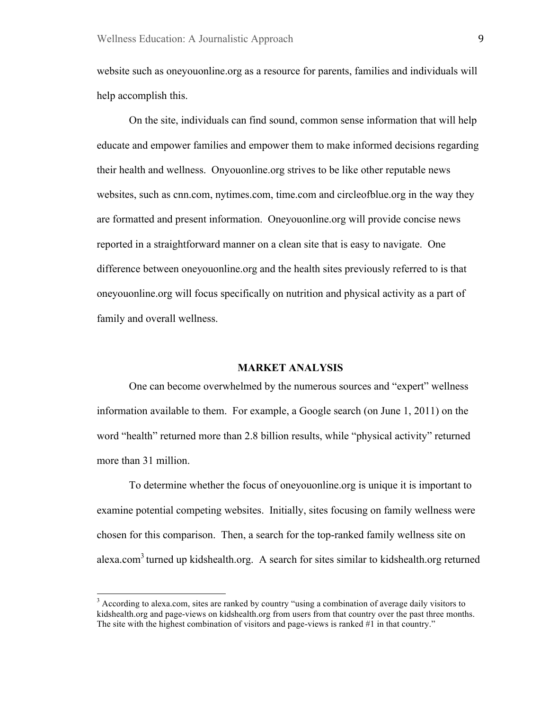website such as oneyouonline.org as a resource for parents, families and individuals will help accomplish this.

On the site, individuals can find sound, common sense information that will help educate and empower families and empower them to make informed decisions regarding their health and wellness. Onyouonline.org strives to be like other reputable news websites, such as cnn.com, nytimes.com, time.com and circleofblue.org in the way they are formatted and present information. Oneyouonline.org will provide concise news reported in a straightforward manner on a clean site that is easy to navigate. One difference between oneyouonline.org and the health sites previously referred to is that oneyouonline.org will focus specifically on nutrition and physical activity as a part of family and overall wellness.

#### **MARKET ANALYSIS**

One can become overwhelmed by the numerous sources and "expert" wellness information available to them. For example, a Google search (on June 1, 2011) on the word "health" returned more than 2.8 billion results, while "physical activity" returned more than 31 million.

To determine whether the focus of oneyouonline.org is unique it is important to examine potential competing websites. Initially, sites focusing on family wellness were chosen for this comparison. Then, a search for the top-ranked family wellness site on alexa.com<sup>3</sup> turned up kidshealth.org. A search for sites similar to kidshealth.org returned

 $3$  According to alexa.com, sites are ranked by country "using a combination of average daily visitors to kidshealth.org and page-views on kidshealth.org from users from that country over the past three months. The site with the highest combination of visitors and page-views is ranked #1 in that country."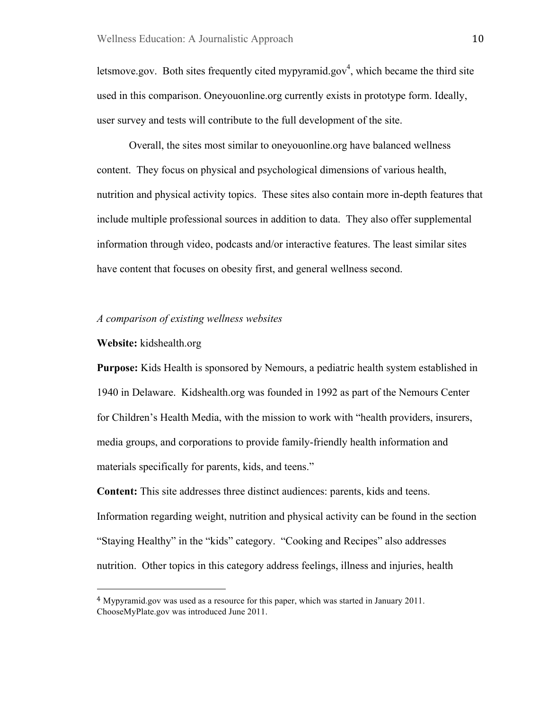letsmove.gov. Both sites frequently cited mypyramid.gov<sup>4</sup>, which became the third site used in this comparison. Oneyouonline.org currently exists in prototype form. Ideally, user survey and tests will contribute to the full development of the site.

Overall, the sites most similar to oneyouonline.org have balanced wellness content. They focus on physical and psychological dimensions of various health, nutrition and physical activity topics. These sites also contain more in-depth features that include multiple professional sources in addition to data. They also offer supplemental information through video, podcasts and/or interactive features. The least similar sites have content that focuses on obesity first, and general wellness second.

### *A comparison of existing wellness websites*

### **Website:** kidshealth.org

"""""""""""""""""""""""""""""""""""""""""""""""""""""""

**Purpose:** Kids Health is sponsored by Nemours, a pediatric health system established in 1940 in Delaware. Kidshealth.org was founded in 1992 as part of the Nemours Center for Children's Health Media, with the mission to work with "health providers, insurers, media groups, and corporations to provide family-friendly health information and materials specifically for parents, kids, and teens."

**Content:** This site addresses three distinct audiences: parents, kids and teens. Information regarding weight, nutrition and physical activity can be found in the section "Staying Healthy" in the "kids" category. "Cooking and Recipes" also addresses nutrition. Other topics in this category address feelings, illness and injuries, health

<sup>4</sup> Mypyramid.gov was used as a resource for this paper, which was started in January 2011. ChooseMyPlate.gov was introduced June 2011.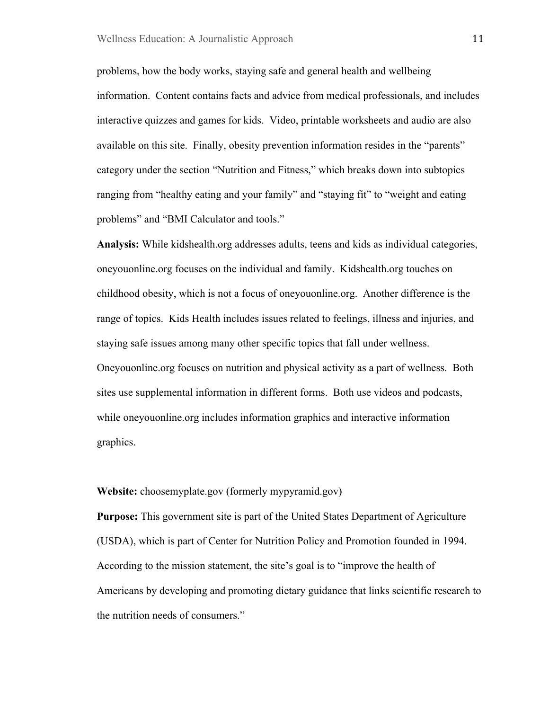problems, how the body works, staying safe and general health and wellbeing information. Content contains facts and advice from medical professionals, and includes interactive quizzes and games for kids. Video, printable worksheets and audio are also available on this site. Finally, obesity prevention information resides in the "parents" category under the section "Nutrition and Fitness," which breaks down into subtopics ranging from "healthy eating and your family" and "staying fit" to "weight and eating problems" and "BMI Calculator and tools."

**Analysis:** While kidshealth.org addresses adults, teens and kids as individual categories, oneyouonline.org focuses on the individual and family. Kidshealth.org touches on childhood obesity, which is not a focus of oneyouonline.org. Another difference is the range of topics. Kids Health includes issues related to feelings, illness and injuries, and staying safe issues among many other specific topics that fall under wellness. Oneyouonline.org focuses on nutrition and physical activity as a part of wellness. Both sites use supplemental information in different forms. Both use videos and podcasts, while oneyouonline.org includes information graphics and interactive information graphics.

**Website:** choosemyplate.gov (formerly mypyramid.gov)

**Purpose:** This government site is part of the United States Department of Agriculture (USDA), which is part of Center for Nutrition Policy and Promotion founded in 1994. According to the mission statement, the site's goal is to "improve the health of Americans by developing and promoting dietary guidance that links scientific research to the nutrition needs of consumers."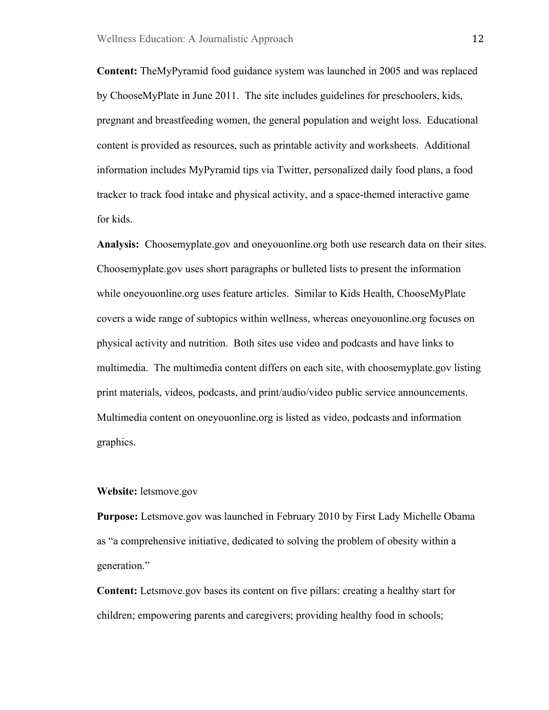**Content:** TheMyPyramid food guidance system was launched in 2005 and was replaced by ChooseMyPlate in June 2011. The site includes guidelines for preschoolers, kids, pregnant and breastfeeding women, the general population and weight loss. Educational content is provided as resources, such as printable activity and worksheets. Additional information includes MyPyramid tips via Twitter, personalized daily food plans, a food tracker to track food intake and physical activity, and a space-themed interactive game for kids.

**Analysis:** Choosemyplate.gov and oneyouonline.org both use research data on their sites. Choosemyplate.gov uses short paragraphs or bulleted lists to present the information while oneyouonline.org uses feature articles. Similar to Kids Health, ChooseMyPlate covers a wide range of subtopics within wellness, whereas oneyouonline.org focuses on physical activity and nutrition. Both sites use video and podcasts and have links to multimedia. The multimedia content differs on each site, with choosemyplate.gov listing print materials, videos, podcasts, and print/audio/video public service announcements. Multimedia content on oneyouonline.org is listed as video, podcasts and information graphics.

#### **Website:** letsmove.gov

**Purpose:** Letsmove.gov was launched in February 2010 by First Lady Michelle Obama as "a comprehensive initiative, dedicated to solving the problem of obesity within a generation."

**Content:** Letsmove.gov bases its content on five pillars: creating a healthy start for children; empowering parents and caregivers; providing healthy food in schools;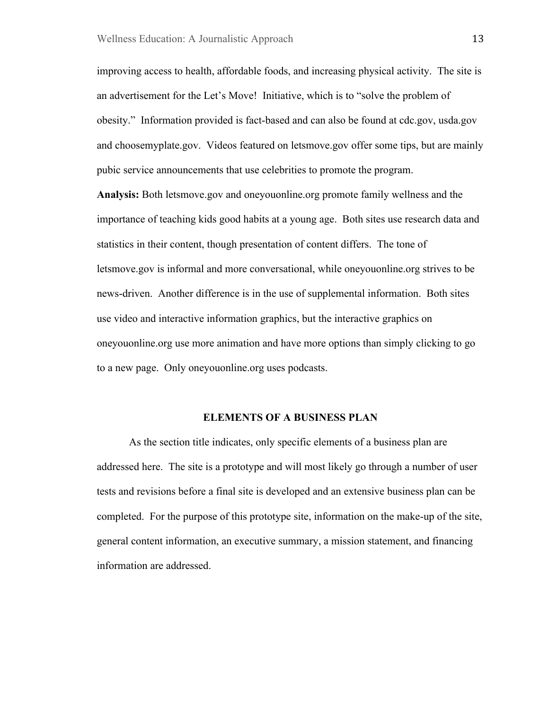improving access to health, affordable foods, and increasing physical activity. The site is an advertisement for the Let's Move! Initiative, which is to "solve the problem of obesity." Information provided is fact-based and can also be found at cdc.gov, usda.gov and choosemyplate.gov. Videos featured on letsmove.gov offer some tips, but are mainly pubic service announcements that use celebrities to promote the program.

**Analysis:** Both letsmove.gov and oneyouonline.org promote family wellness and the importance of teaching kids good habits at a young age. Both sites use research data and statistics in their content, though presentation of content differs. The tone of letsmove.gov is informal and more conversational, while oneyouonline.org strives to be news-driven. Another difference is in the use of supplemental information. Both sites use video and interactive information graphics, but the interactive graphics on oneyouonline.org use more animation and have more options than simply clicking to go to a new page. Only oneyouonline.org uses podcasts.

### **ELEMENTS OF A BUSINESS PLAN**

As the section title indicates, only specific elements of a business plan are addressed here. The site is a prototype and will most likely go through a number of user tests and revisions before a final site is developed and an extensive business plan can be completed. For the purpose of this prototype site, information on the make-up of the site, general content information, an executive summary, a mission statement, and financing information are addressed.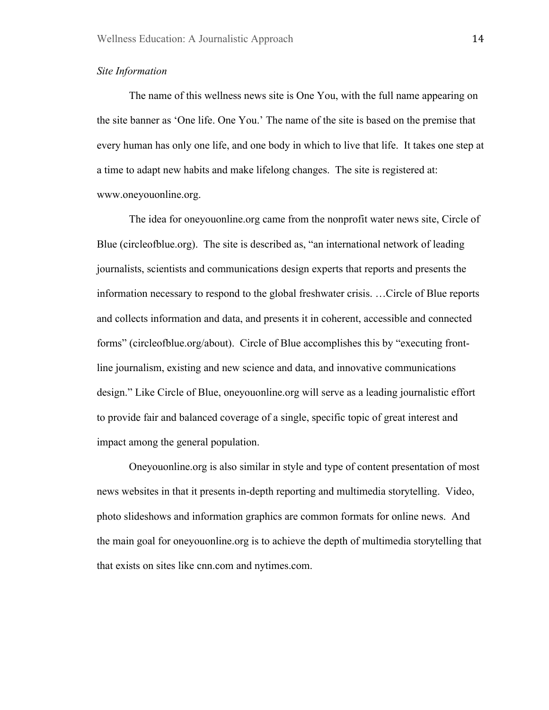### *Site Information*

The name of this wellness news site is One You, with the full name appearing on the site banner as 'One life. One You.' The name of the site is based on the premise that every human has only one life, and one body in which to live that life. It takes one step at a time to adapt new habits and make lifelong changes. The site is registered at: www.oneyouonline.org.

The idea for oneyouonline.org came from the nonprofit water news site, Circle of Blue (circleofblue.org). The site is described as, "an international network of leading journalists, scientists and communications design experts that reports and presents the information necessary to respond to the global freshwater crisis. …Circle of Blue reports and collects information and data, and presents it in coherent, accessible and connected forms" (circleofblue.org/about). Circle of Blue accomplishes this by "executing frontline journalism, existing and new science and data, and innovative communications design." Like Circle of Blue, oneyouonline.org will serve as a leading journalistic effort to provide fair and balanced coverage of a single, specific topic of great interest and impact among the general population.

Oneyouonline.org is also similar in style and type of content presentation of most news websites in that it presents in-depth reporting and multimedia storytelling. Video, photo slideshows and information graphics are common formats for online news. And the main goal for oneyouonline.org is to achieve the depth of multimedia storytelling that that exists on sites like cnn.com and nytimes.com.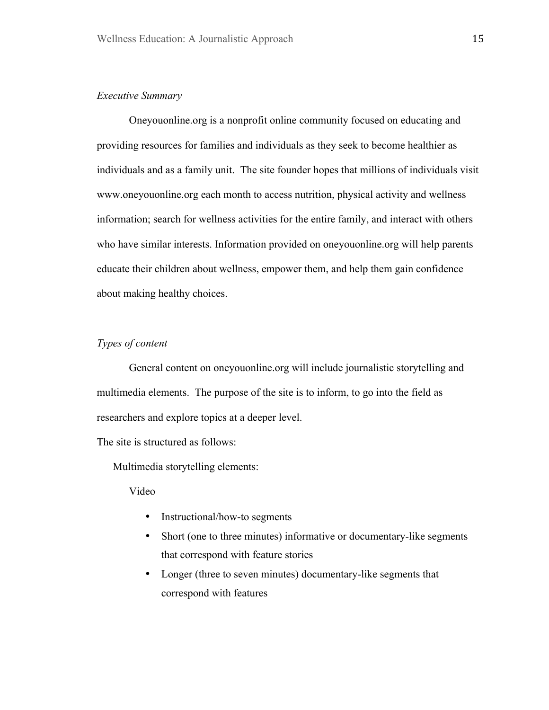### *Executive Summary*

Oneyouonline.org is a nonprofit online community focused on educating and providing resources for families and individuals as they seek to become healthier as individuals and as a family unit. The site founder hopes that millions of individuals visit www.oneyouonline.org each month to access nutrition, physical activity and wellness information; search for wellness activities for the entire family, and interact with others who have similar interests. Information provided on oneyouonline.org will help parents educate their children about wellness, empower them, and help them gain confidence about making healthy choices.

### *Types of content*

General content on oneyouonline.org will include journalistic storytelling and multimedia elements. The purpose of the site is to inform, to go into the field as researchers and explore topics at a deeper level.

The site is structured as follows:

Multimedia storytelling elements:

Video

- Instructional/how-to segments
- Short (one to three minutes) informative or documentary-like segments that correspond with feature stories
- Longer (three to seven minutes) documentary-like segments that correspond with features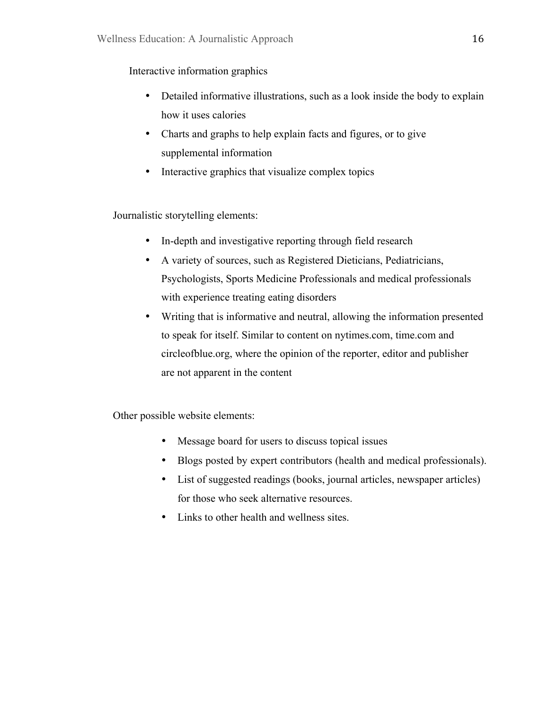Interactive information graphics

- Detailed informative illustrations, such as a look inside the body to explain how it uses calories
- Charts and graphs to help explain facts and figures, or to give supplemental information
- Interactive graphics that visualize complex topics

Journalistic storytelling elements:

- In-depth and investigative reporting through field research
- A variety of sources, such as Registered Dieticians, Pediatricians, Psychologists, Sports Medicine Professionals and medical professionals with experience treating eating disorders
- Writing that is informative and neutral, allowing the information presented to speak for itself. Similar to content on nytimes.com, time.com and circleofblue.org, where the opinion of the reporter, editor and publisher are not apparent in the content

Other possible website elements:

- Message board for users to discuss topical issues
- Blogs posted by expert contributors (health and medical professionals).
- List of suggested readings (books, journal articles, newspaper articles) for those who seek alternative resources.
- Links to other health and wellness sites.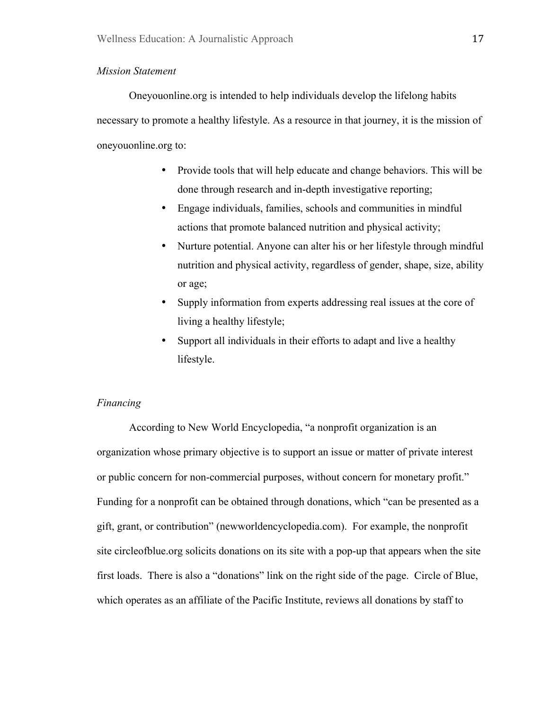### *Mission Statement*

Oneyouonline.org is intended to help individuals develop the lifelong habits necessary to promote a healthy lifestyle. As a resource in that journey, it is the mission of oneyouonline.org to:

- Provide tools that will help educate and change behaviors. This will be done through research and in-depth investigative reporting;
- Engage individuals, families, schools and communities in mindful actions that promote balanced nutrition and physical activity;
- Nurture potential. Anyone can alter his or her lifestyle through mindful nutrition and physical activity, regardless of gender, shape, size, ability or age;
- Supply information from experts addressing real issues at the core of living a healthy lifestyle;
- Support all individuals in their efforts to adapt and live a healthy lifestyle.

### *Financing*

According to New World Encyclopedia, "a nonprofit organization is an organization whose primary objective is to support an issue or matter of private interest or public concern for non-commercial purposes, without concern for monetary profit." Funding for a nonprofit can be obtained through donations, which "can be presented as a gift, grant, or contribution" (newworldencyclopedia.com). For example, the nonprofit site circleofblue.org solicits donations on its site with a pop-up that appears when the site first loads. There is also a "donations" link on the right side of the page. Circle of Blue, which operates as an affiliate of the Pacific Institute, reviews all donations by staff to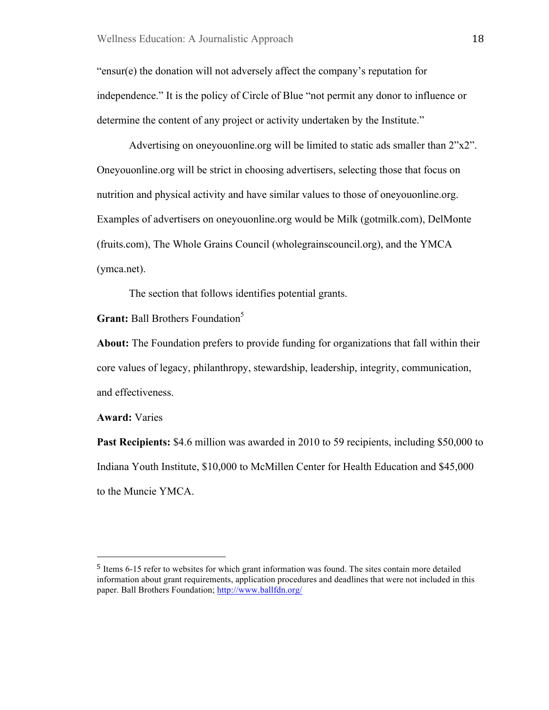"ensur(e) the donation will not adversely affect the company's reputation for independence." It is the policy of Circle of Blue "not permit any donor to influence or determine the content of any project or activity undertaken by the Institute."

Advertising on oneyouonline.org will be limited to static ads smaller than 2"x2". Oneyouonline.org will be strict in choosing advertisers, selecting those that focus on nutrition and physical activity and have similar values to those of oneyouonline.org. Examples of advertisers on oneyouonline.org would be Milk (gotmilk.com), DelMonte (fruits.com), The Whole Grains Council (wholegrainscouncil.org), and the YMCA (ymca.net).

The section that follows identifies potential grants.

**Grant:** Ball Brothers Foundation<sup>5</sup>

"""""""""""""""""""""""""""""""""""""""""""""""""""""""

**About:** The Foundation prefers to provide funding for organizations that fall within their core values of legacy, philanthropy, stewardship, leadership, integrity, communication, and effectiveness.

**Award:** Varies

**Past Recipients:** \$4.6 million was awarded in 2010 to 59 recipients, including \$50,000 to Indiana Youth Institute, \$10,000 to McMillen Center for Health Education and \$45,000 to the Muncie YMCA.

<sup>5</sup> Items 6-15 refer to websites for which grant information was found. The sites contain more detailed information about grant requirements, application procedures and deadlines that were not included in this paper. Ball Brothers Foundation; http://www.ballfdn.org/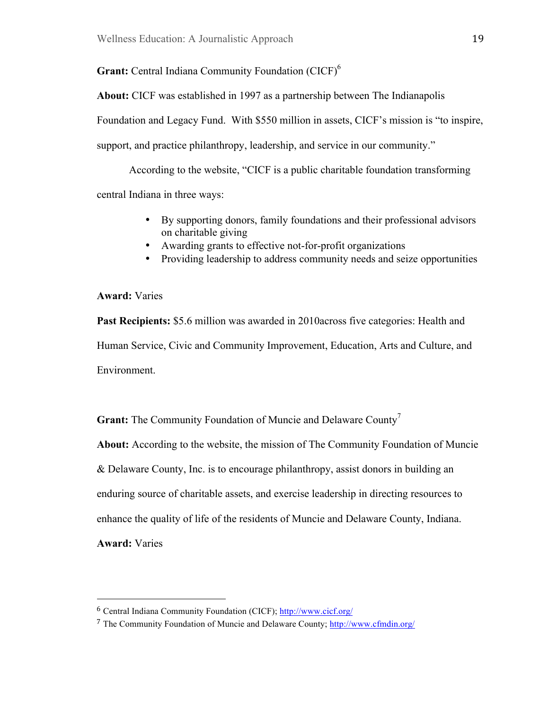Grant: Central Indiana Community Foundation (CICF)<sup>6</sup>

**About:** CICF was established in 1997 as a partnership between The Indianapolis Foundation and Legacy Fund. With \$550 million in assets, CICF's mission is "to inspire, support, and practice philanthropy, leadership, and service in our community."

According to the website, "CICF is a public charitable foundation transforming central Indiana in three ways:

- By supporting donors, family foundations and their professional advisors on charitable giving
- Awarding grants to effective not-for-profit organizations
- Providing leadership to address community needs and seize opportunities

# **Award:** Varies

**Past Recipients:** \$5.6 million was awarded in 2010across five categories: Health and Human Service, Civic and Community Improvement, Education, Arts and Culture, and Environment.

**Grant:** The Community Foundation of Muncie and Delaware County<sup>7</sup>

**About:** According to the website, the mission of The Community Foundation of Muncie

& Delaware County, Inc. is to encourage philanthropy, assist donors in building an

enduring source of charitable assets, and exercise leadership in directing resources to

enhance the quality of life of the residents of Muncie and Delaware County, Indiana.

**Award:** Varies

"""""""""""""""""""""""""""""""""""""""""""""""""""""""

<sup>6</sup> Central Indiana Community Foundation (CICF); http://www.cicf.org/

<sup>7</sup> The Community Foundation of Muncie and Delaware County; http://www.cfmdin.org/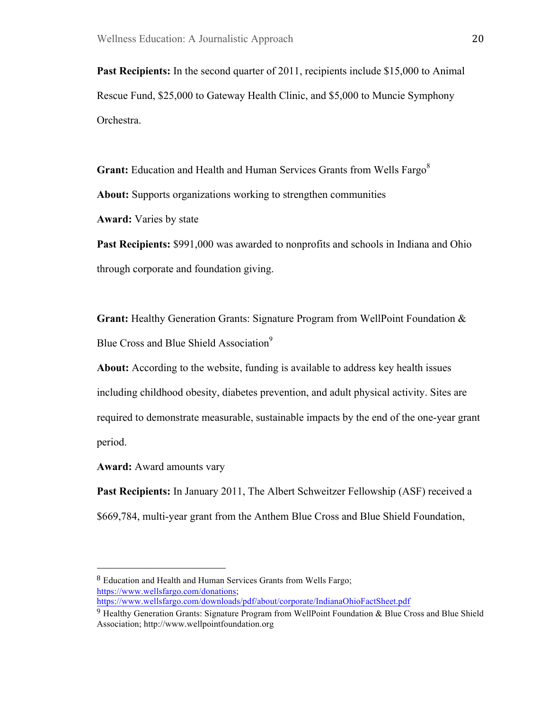**Past Recipients:** In the second quarter of 2011, recipients include \$15,000 to Animal Rescue Fund, \$25,000 to Gateway Health Clinic, and \$5,000 to Muncie Symphony Orchestra.

**Grant:** Education and Health and Human Services Grants from Wells Fargo<sup>8</sup> **About:** Supports organizations working to strengthen communities **Award:** Varies by state

**Past Recipients:** \$991,000 was awarded to nonprofits and schools in Indiana and Ohio through corporate and foundation giving.

**Grant:** Healthy Generation Grants: Signature Program from WellPoint Foundation & Blue Cross and Blue Shield Association<sup>9</sup>

**About:** According to the website, funding is available to address key health issues including childhood obesity, diabetes prevention, and adult physical activity. Sites are required to demonstrate measurable, sustainable impacts by the end of the one-year grant period.

**Award:** Award amounts vary

"""""""""""""""""""""""""""""""""""""""""""""""""""""""

**Past Recipients:** In January 2011, The Albert Schweitzer Fellowship (ASF) received a \$669,784, multi-year grant from the Anthem Blue Cross and Blue Shield Foundation,

<sup>8</sup> Education and Health and Human Services Grants from Wells Fargo; https://www.wellsfargo.com/donations; https://www.wellsfargo.com/downloads/pdf/about/corporate/IndianaOhioFactSheet.pdf

 $9$  Healthy Generation Grants: Signature Program from WellPoint Foundation & Blue Cross and Blue Shield Association; http://www.wellpointfoundation.org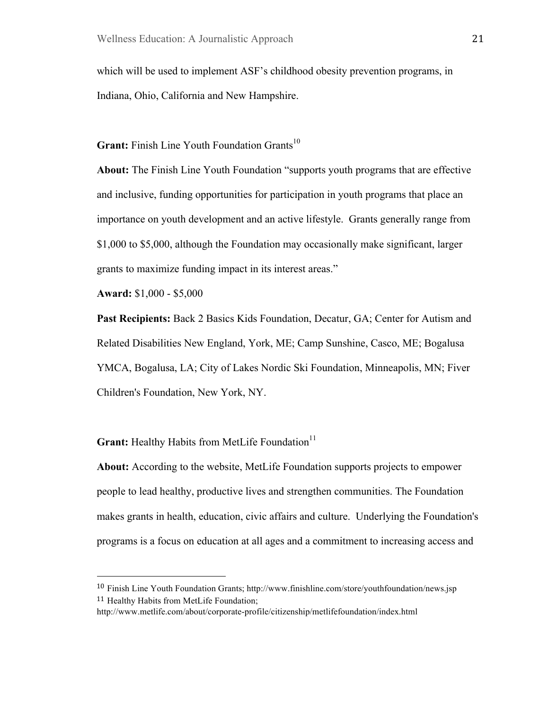which will be used to implement ASF's childhood obesity prevention programs, in Indiana, Ohio, California and New Hampshire.

**Grant:** Finish Line Youth Foundation Grants<sup>10</sup>

**About:** The Finish Line Youth Foundation "supports youth programs that are effective and inclusive, funding opportunities for participation in youth programs that place an importance on youth development and an active lifestyle. Grants generally range from \$1,000 to \$5,000, although the Foundation may occasionally make significant, larger grants to maximize funding impact in its interest areas."

**Award:** \$1,000 - \$5,000

"""""""""""""""""""""""""""""""""""""""""""""""""""""""

**Past Recipients:** Back 2 Basics Kids Foundation, Decatur, GA; Center for Autism and Related Disabilities New England, York, ME; Camp Sunshine, Casco, ME; Bogalusa YMCA, Bogalusa, LA; City of Lakes Nordic Ski Foundation, Minneapolis, MN; Fiver Children's Foundation, New York, NY.

**Grant:** Healthy Habits from MetLife Foundation<sup>11</sup>

**About:** According to the website, MetLife Foundation supports projects to empower people to lead healthy, productive lives and strengthen communities. The Foundation makes grants in health, education, civic affairs and culture. Underlying the Foundation's programs is a focus on education at all ages and a commitment to increasing access and

<sup>10</sup> Finish Line Youth Foundation Grants; http://www.finishline.com/store/youthfoundation/news.jsp <sup>11</sup> Healthy Habits from MetLife Foundation;

http://www.metlife.com/about/corporate-profile/citizenship/metlifefoundation/index.html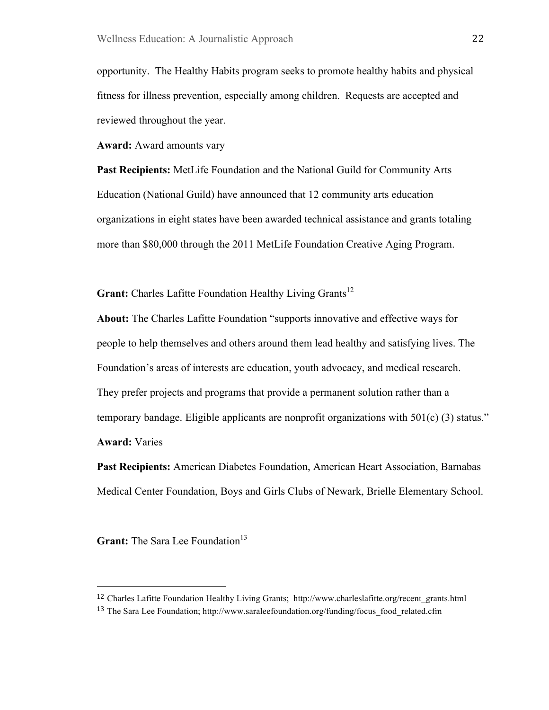opportunity. The Healthy Habits program seeks to promote healthy habits and physical fitness for illness prevention, especially among children. Requests are accepted and reviewed throughout the year.

**Award:** Award amounts vary

**Past Recipients:** MetLife Foundation and the National Guild for Community Arts Education (National Guild) have announced that 12 community arts education organizations in eight states have been awarded technical assistance and grants totaling more than \$80,000 through the 2011 MetLife Foundation Creative Aging Program.

**Grant:** Charles Lafitte Foundation Healthy Living Grants<sup>12</sup>

**About:** The Charles Lafitte Foundation "supports innovative and effective ways for people to help themselves and others around them lead healthy and satisfying lives. The Foundation's areas of interests are education, youth advocacy, and medical research. They prefer projects and programs that provide a permanent solution rather than a temporary bandage. Eligible applicants are nonprofit organizations with  $501(c)$  (3) status." **Award:** Varies

**Past Recipients:** American Diabetes Foundation, American Heart Association, Barnabas Medical Center Foundation, Boys and Girls Clubs of Newark, Brielle Elementary School.

**Grant:** The Sara Lee Foundation<sup>13</sup>

"""""""""""""""""""""""""""""""""""""""""""""""""""""""

<sup>12</sup> Charles Lafitte Foundation Healthy Living Grants; http://www.charleslafitte.org/recent\_grants.html

<sup>&</sup>lt;sup>13</sup> The Sara Lee Foundation; http://www.saraleefoundation.org/funding/focus food related.cfm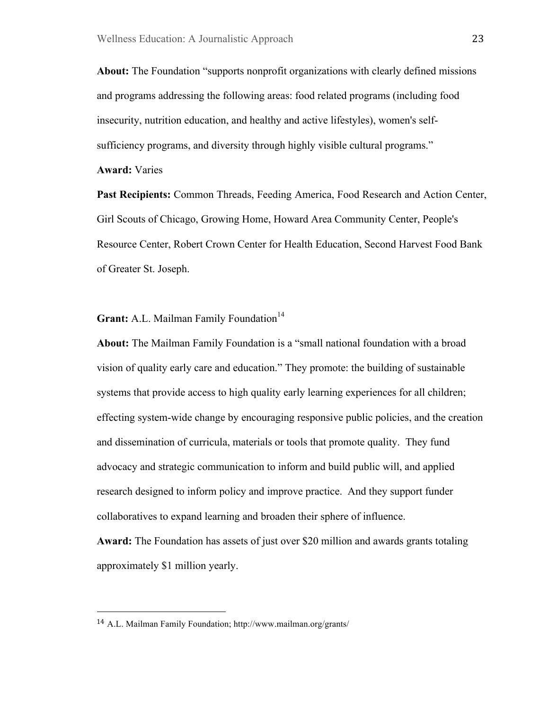**About:** The Foundation "supports nonprofit organizations with clearly defined missions and programs addressing the following areas: food related programs (including food insecurity, nutrition education, and healthy and active lifestyles), women's selfsufficiency programs, and diversity through highly visible cultural programs."

**Award:** Varies

Past Recipients: Common Threads, Feeding America, Food Research and Action Center, Girl Scouts of Chicago, Growing Home, Howard Area Community Center, People's Resource Center, Robert Crown Center for Health Education, Second Harvest Food Bank of Greater St. Joseph.

**Grant:** A.L. Mailman Family Foundation<sup>14</sup>

**About:** The Mailman Family Foundation is a "small national foundation with a broad vision of quality early care and education." They promote: the building of sustainable systems that provide access to high quality early learning experiences for all children; effecting system-wide change by encouraging responsive public policies, and the creation and dissemination of curricula, materials or tools that promote quality. They fund advocacy and strategic communication to inform and build public will, and applied research designed to inform policy and improve practice. And they support funder collaboratives to expand learning and broaden their sphere of influence.

**Award:** The Foundation has assets of just over \$20 million and awards grants totaling approximately \$1 million yearly.

"""""""""""""""""""""""""""""""""""""""""""""""""""""""

<sup>14</sup> A.L. Mailman Family Foundation; http://www.mailman.org/grants/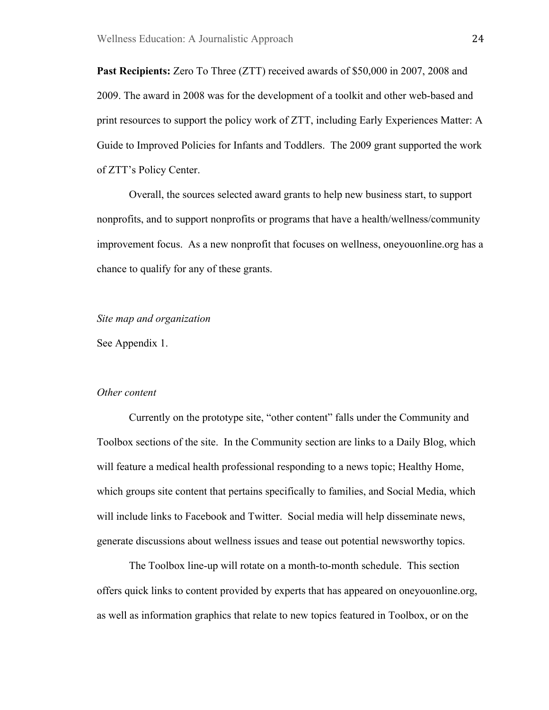**Past Recipients:** Zero To Three (ZTT) received awards of \$50,000 in 2007, 2008 and 2009. The award in 2008 was for the development of a toolkit and other web-based and print resources to support the policy work of ZTT, including Early Experiences Matter: A Guide to Improved Policies for Infants and Toddlers. The 2009 grant supported the work of ZTT's Policy Center.

Overall, the sources selected award grants to help new business start, to support nonprofits, and to support nonprofits or programs that have a health/wellness/community improvement focus. As a new nonprofit that focuses on wellness, oneyouonline.org has a chance to qualify for any of these grants.

#### *Site map and organization*

See Appendix 1.

#### *Other content*

Currently on the prototype site, "other content" falls under the Community and Toolbox sections of the site. In the Community section are links to a Daily Blog, which will feature a medical health professional responding to a news topic; Healthy Home, which groups site content that pertains specifically to families, and Social Media, which will include links to Facebook and Twitter. Social media will help disseminate news, generate discussions about wellness issues and tease out potential newsworthy topics.

The Toolbox line-up will rotate on a month-to-month schedule. This section offers quick links to content provided by experts that has appeared on oneyouonline.org, as well as information graphics that relate to new topics featured in Toolbox, or on the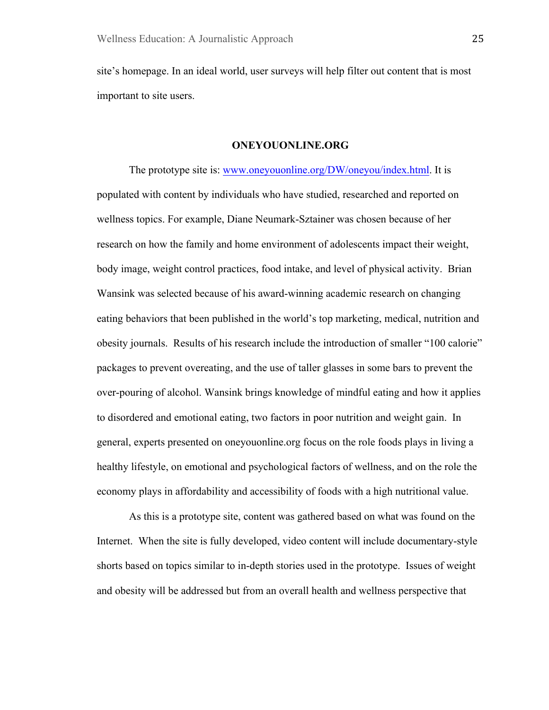site's homepage. In an ideal world, user surveys will help filter out content that is most important to site users.

#### **ONEYOUONLINE.ORG**

The prototype site is: www.oneyouonline.org/DW/oneyou/index.html. It is populated with content by individuals who have studied, researched and reported on wellness topics. For example, Diane Neumark-Sztainer was chosen because of her research on how the family and home environment of adolescents impact their weight, body image, weight control practices, food intake, and level of physical activity. Brian Wansink was selected because of his award-winning academic research on changing eating behaviors that been published in the world's top marketing, medical, nutrition and obesity journals. Results of his research include the introduction of smaller "100 calorie" packages to prevent overeating, and the use of taller glasses in some bars to prevent the over-pouring of alcohol. Wansink brings knowledge of mindful eating and how it applies to disordered and emotional eating, two factors in poor nutrition and weight gain. In general, experts presented on oneyouonline.org focus on the role foods plays in living a healthy lifestyle, on emotional and psychological factors of wellness, and on the role the economy plays in affordability and accessibility of foods with a high nutritional value.

As this is a prototype site, content was gathered based on what was found on the Internet. When the site is fully developed, video content will include documentary-style shorts based on topics similar to in-depth stories used in the prototype. Issues of weight and obesity will be addressed but from an overall health and wellness perspective that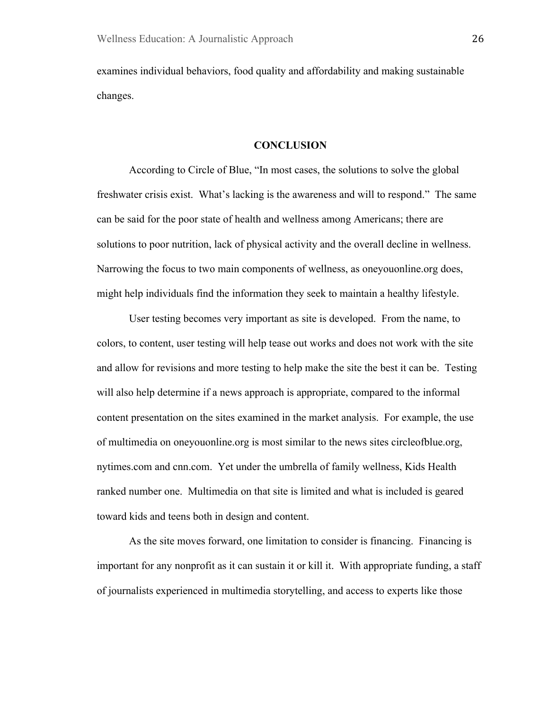examines individual behaviors, food quality and affordability and making sustainable changes.

#### **CONCLUSION**

According to Circle of Blue, "In most cases, the solutions to solve the global freshwater crisis exist. What's lacking is the awareness and will to respond." The same can be said for the poor state of health and wellness among Americans; there are solutions to poor nutrition, lack of physical activity and the overall decline in wellness. Narrowing the focus to two main components of wellness, as oneyouonline.org does, might help individuals find the information they seek to maintain a healthy lifestyle.

User testing becomes very important as site is developed. From the name, to colors, to content, user testing will help tease out works and does not work with the site and allow for revisions and more testing to help make the site the best it can be. Testing will also help determine if a news approach is appropriate, compared to the informal content presentation on the sites examined in the market analysis. For example, the use of multimedia on oneyouonline.org is most similar to the news sites circleofblue.org, nytimes.com and cnn.com. Yet under the umbrella of family wellness, Kids Health ranked number one. Multimedia on that site is limited and what is included is geared toward kids and teens both in design and content.

As the site moves forward, one limitation to consider is financing. Financing is important for any nonprofit as it can sustain it or kill it. With appropriate funding, a staff of journalists experienced in multimedia storytelling, and access to experts like those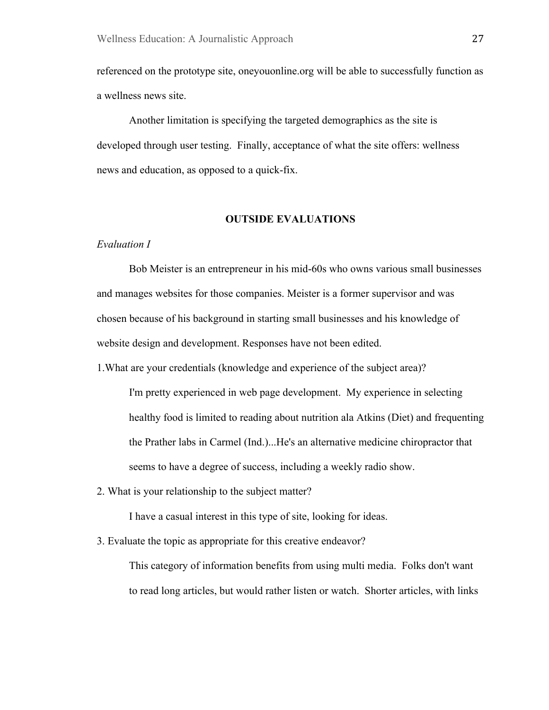referenced on the prototype site, oneyouonline.org will be able to successfully function as a wellness news site.

Another limitation is specifying the targeted demographics as the site is developed through user testing. Finally, acceptance of what the site offers: wellness news and education, as opposed to a quick-fix.

#### **OUTSIDE EVALUATIONS**

#### *Evaluation I*

Bob Meister is an entrepreneur in his mid-60s who owns various small businesses and manages websites for those companies. Meister is a former supervisor and was chosen because of his background in starting small businesses and his knowledge of website design and development. Responses have not been edited.

1.What are your credentials (knowledge and experience of the subject area)?

I'm pretty experienced in web page development. My experience in selecting healthy food is limited to reading about nutrition ala Atkins (Diet) and frequenting the Prather labs in Carmel (Ind.)...He's an alternative medicine chiropractor that seems to have a degree of success, including a weekly radio show.

2. What is your relationship to the subject matter?

I have a casual interest in this type of site, looking for ideas.

3. Evaluate the topic as appropriate for this creative endeavor?

This category of information benefits from using multi media. Folks don't want to read long articles, but would rather listen or watch. Shorter articles, with links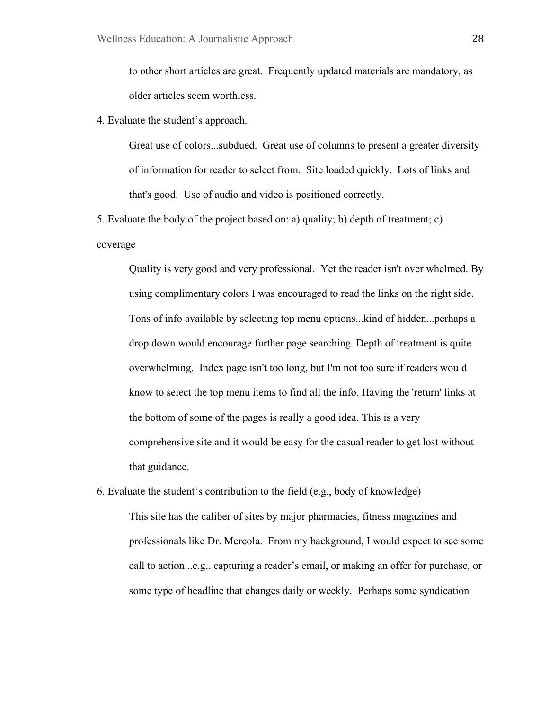to other short articles are great. Frequently updated materials are mandatory, as older articles seem worthless.

4. Evaluate the student's approach.

Great use of colors...subdued. Great use of columns to present a greater diversity of information for reader to select from. Site loaded quickly. Lots of links and that's good. Use of audio and video is positioned correctly.

5. Evaluate the body of the project based on: a) quality; b) depth of treatment; c) coverage

Quality is very good and very professional. Yet the reader isn't over whelmed. By using complimentary colors I was encouraged to read the links on the right side. Tons of info available by selecting top menu options...kind of hidden...perhaps a drop down would encourage further page searching. Depth of treatment is quite overwhelming. Index page isn't too long, but I'm not too sure if readers would know to select the top menu items to find all the info. Having the 'return' links at the bottom of some of the pages is really a good idea. This is a very comprehensive site and it would be easy for the casual reader to get lost without that guidance.

6. Evaluate the student's contribution to the field (e.g., body of knowledge) This site has the caliber of sites by major pharmacies, fitness magazines and professionals like Dr. Mercola. From my background, I would expect to see some call to action...e.g., capturing a reader's email, or making an offer for purchase, or some type of headline that changes daily or weekly. Perhaps some syndication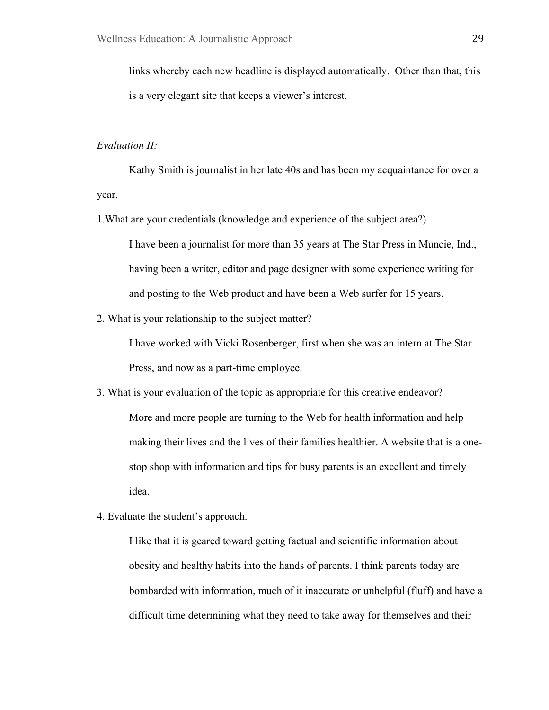links whereby each new headline is displayed automatically. Other than that, this is a very elegant site that keeps a viewer's interest.

#### *Evaluation II:*

Kathy Smith is journalist in her late 40s and has been my acquaintance for over a year.

1.What are your credentials (knowledge and experience of the subject area?)

I have been a journalist for more than 35 years at The Star Press in Muncie, Ind., having been a writer, editor and page designer with some experience writing for and posting to the Web product and have been a Web surfer for 15 years.

2. What is your relationship to the subject matter?

I have worked with Vicki Rosenberger, first when she was an intern at The Star Press, and now as a part-time employee.

- 3. What is your evaluation of the topic as appropriate for this creative endeavor? More and more people are turning to the Web for health information and help making their lives and the lives of their families healthier. A website that is a onestop shop with information and tips for busy parents is an excellent and timely idea.
- 4. Evaluate the student's approach.

I like that it is geared toward getting factual and scientific information about obesity and healthy habits into the hands of parents. I think parents today are bombarded with information, much of it inaccurate or unhelpful (fluff) and have a difficult time determining what they need to take away for themselves and their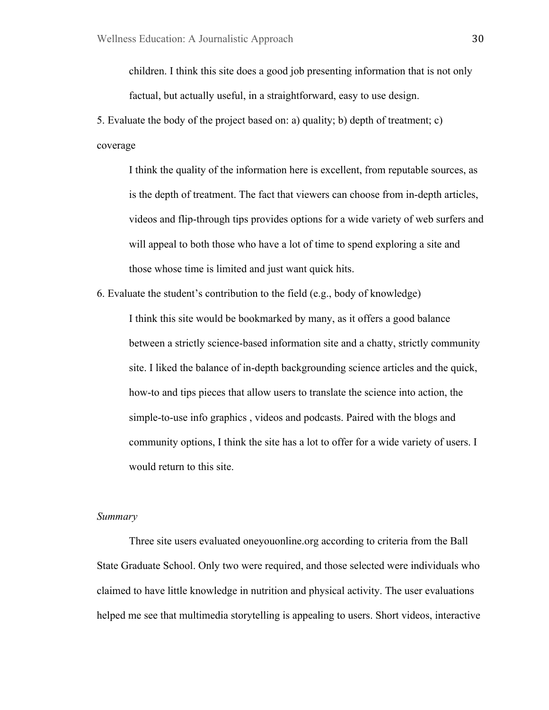children. I think this site does a good job presenting information that is not only

factual, but actually useful, in a straightforward, easy to use design.

5. Evaluate the body of the project based on: a) quality; b) depth of treatment; c) coverage

I think the quality of the information here is excellent, from reputable sources, as is the depth of treatment. The fact that viewers can choose from in-depth articles, videos and flip-through tips provides options for a wide variety of web surfers and will appeal to both those who have a lot of time to spend exploring a site and those whose time is limited and just want quick hits.

6. Evaluate the student's contribution to the field (e.g., body of knowledge)

I think this site would be bookmarked by many, as it offers a good balance between a strictly science-based information site and a chatty, strictly community site. I liked the balance of in-depth backgrounding science articles and the quick, how-to and tips pieces that allow users to translate the science into action, the simple-to-use info graphics , videos and podcasts. Paired with the blogs and community options, I think the site has a lot to offer for a wide variety of users. I would return to this site.

### *Summary*

Three site users evaluated oneyouonline.org according to criteria from the Ball State Graduate School. Only two were required, and those selected were individuals who claimed to have little knowledge in nutrition and physical activity. The user evaluations helped me see that multimedia storytelling is appealing to users. Short videos, interactive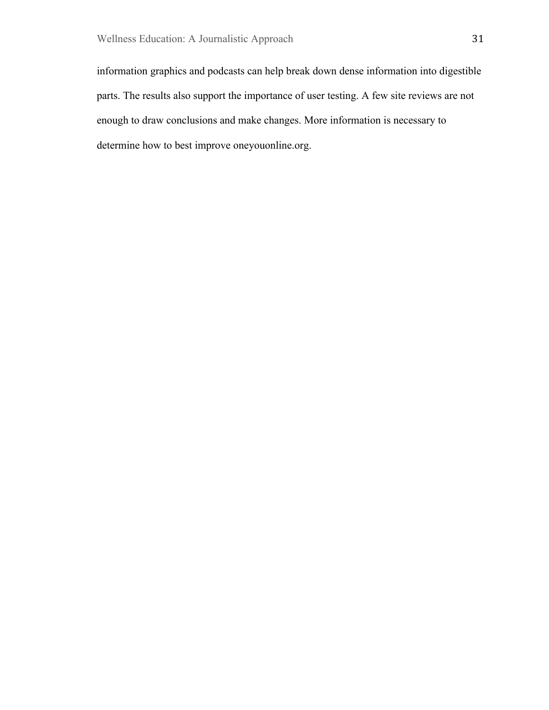information graphics and podcasts can help break down dense information into digestible parts. The results also support the importance of user testing. A few site reviews are not enough to draw conclusions and make changes. More information is necessary to determine how to best improve oneyouonline.org.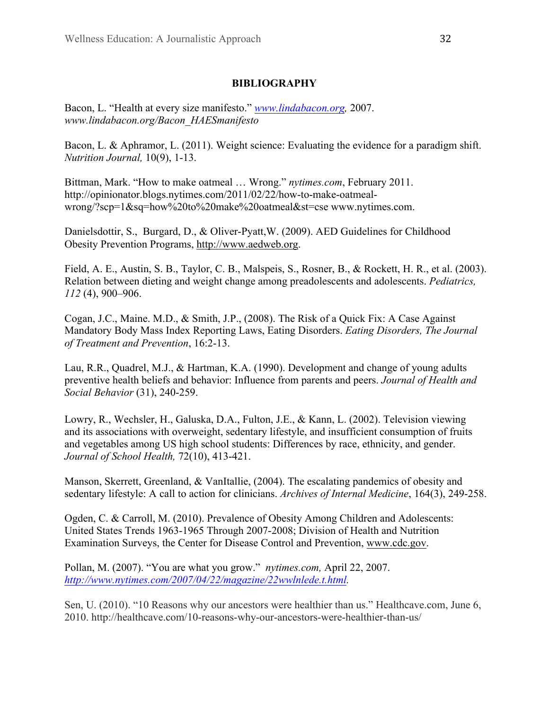# **BIBLIOGRAPHY**

Bacon, L. "Health at every size manifesto." *www.lindabacon.org,* 2007. *www.lindabacon.org/Bacon\_HAESmanifesto*

Bacon, L. & Aphramor, L. (2011). Weight science: Evaluating the evidence for a paradigm shift. *Nutrition Journal,* 10(9), 1-13.

Bittman, Mark. "How to make oatmeal … Wrong." *nytimes.com*, February 2011. http://opinionator.blogs.nytimes.com/2011/02/22/how-to-make-oatmealwrong/?scp=1&sq=how%20to%20make%20oatmeal&st=cse www.nytimes.com.

Danielsdottir, S., Burgard, D., & Oliver-Pyatt,W. (2009). AED Guidelines for Childhood Obesity Prevention Programs, http://www.aedweb.org.

Field, A. E., Austin, S. B., Taylor, C. B., Malspeis, S., Rosner, B., & Rockett, H. R., et al. (2003). Relation between dieting and weight change among preadolescents and adolescents. *Pediatrics, 112* (4), 900–906.

Cogan, J.C., Maine. M.D., & Smith, J.P., (2008). The Risk of a Quick Fix: A Case Against Mandatory Body Mass Index Reporting Laws, Eating Disorders. *Eating Disorders, The Journal of Treatment and Prevention*, 16:2-13.

Lau, R.R., Quadrel, M.J., & Hartman, K.A. (1990). Development and change of young adults preventive health beliefs and behavior: Influence from parents and peers. *Journal of Health and Social Behavior* (31), 240-259.

Lowry, R., Wechsler, H., Galuska, D.A., Fulton, J.E., & Kann, L. (2002). Television viewing and its associations with overweight, sedentary lifestyle, and insufficient consumption of fruits and vegetables among US high school students: Differences by race, ethnicity, and gender. *Journal of School Health,* 72(10), 413-421.

Manson, Skerrett, Greenland, & VanItallie, (2004). The escalating pandemics of obesity and sedentary lifestyle: A call to action for clinicians. *Archives of Internal Medicine*, 164(3), 249-258.

Ogden, C. & Carroll, M. (2010). Prevalence of Obesity Among Children and Adolescents: United States Trends 1963-1965 Through 2007-2008; Division of Health and Nutrition Examination Surveys, the Center for Disease Control and Prevention, www.cdc.gov.

Pollan, M. (2007). "You are what you grow." *nytimes.com,* April 22, 2007. *http://www.nytimes.com/2007/04/22/magazine/22wwlnlede.t.html.*

Sen, U. (2010). "10 Reasons why our ancestors were healthier than us." Healthcave.com, June 6, 2010. http://healthcave.com/10-reasons-why-our-ancestors-were-healthier-than-us/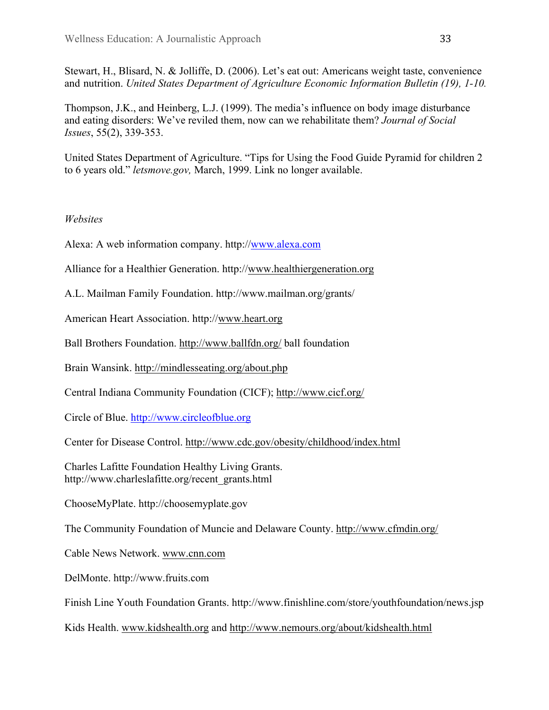Stewart, H., Blisard, N. & Jolliffe, D. (2006). Let's eat out: Americans weight taste, convenience and nutrition. *United States Department of Agriculture Economic Information Bulletin (19), 1-10.*

Thompson, J.K., and Heinberg, L.J. (1999). The media's influence on body image disturbance and eating disorders: We've reviled them, now can we rehabilitate them? *Journal of Social Issues*, 55(2), 339-353.

United States Department of Agriculture. "Tips for Using the Food Guide Pyramid for children 2 to 6 years old." *letsmove.gov,* March, 1999. Link no longer available.

# *Websites*

Alexa: A web information company. http://www.alexa.com

Alliance for a Healthier Generation. http://www.healthiergeneration.org

A.L. Mailman Family Foundation. http://www.mailman.org/grants/

American Heart Association. http://www.heart.org

Ball Brothers Foundation. http://www.ballfdn.org/ ball foundation

Brain Wansink. http://mindlesseating.org/about.php

Central Indiana Community Foundation (CICF); http://www.cicf.org/

Circle of Blue. http://www.circleofblue.org

Center for Disease Control. http://www.cdc.gov/obesity/childhood/index.html

Charles Lafitte Foundation Healthy Living Grants. http://www.charleslafitte.org/recent\_grants.html

ChooseMyPlate. http://choosemyplate.gov

The Community Foundation of Muncie and Delaware County. http://www.cfmdin.org/

Cable News Network. www.cnn.com

DelMonte. http://www.fruits.com

Finish Line Youth Foundation Grants. http://www.finishline.com/store/youthfoundation/news.jsp

Kids Health. www.kidshealth.org and http://www.nemours.org/about/kidshealth.html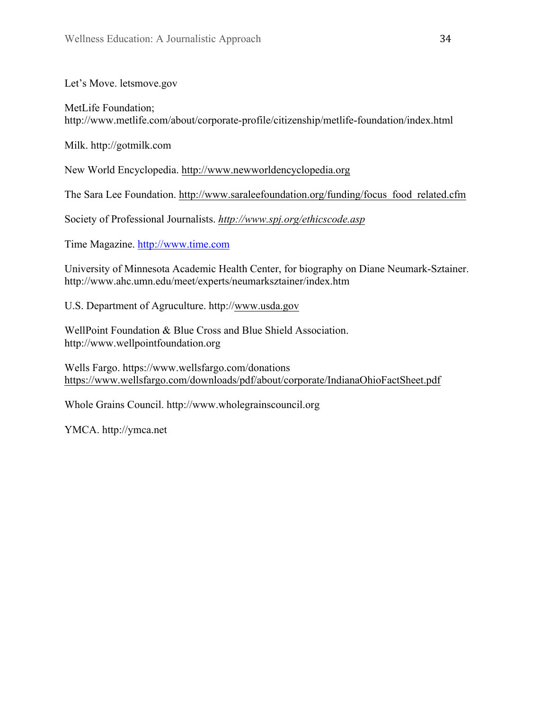Let's Move. letsmove.gov

MetLife Foundation; http://www.metlife.com/about/corporate-profile/citizenship/metlife-foundation/index.html

Milk. http://gotmilk.com

New World Encyclopedia. http://www.newworldencyclopedia.org

The Sara Lee Foundation. http://www.saraleefoundation.org/funding/focus\_food\_related.cfm

Society of Professional Journalists. *http://www.spj.org/ethicscode.asp*

Time Magazine. http://www.time.com

University of Minnesota Academic Health Center, for biography on Diane Neumark-Sztainer. http://www.ahc.umn.edu/meet/experts/neumarksztainer/index.htm

U.S. Department of Agruculture. http://www.usda.gov

WellPoint Foundation & Blue Cross and Blue Shield Association. http://www.wellpointfoundation.org

Wells Fargo. https://www.wellsfargo.com/donations https://www.wellsfargo.com/downloads/pdf/about/corporate/IndianaOhioFactSheet.pdf

Whole Grains Council. http://www.wholegrainscouncil.org

YMCA. http://ymca.net